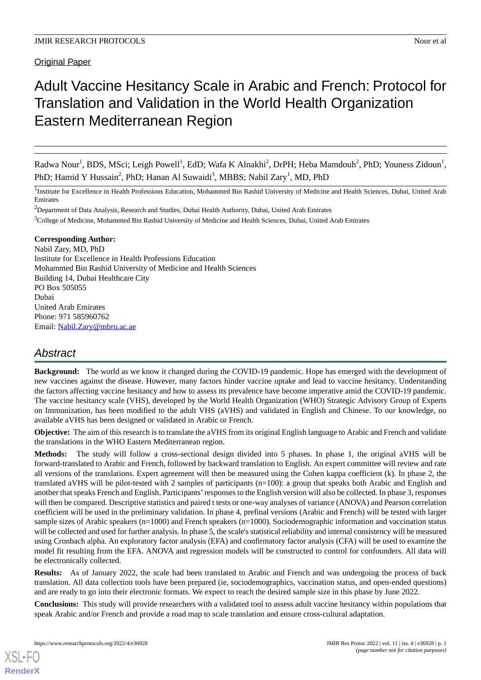**Original Paper** 

# Adult Vaccine Hesitancy Scale in Arabic and French: Protocol for Translation and Validation in the World Health Organization Eastern Mediterranean Region

Radwa Nour<sup>1</sup>, BDS, MSci; Leigh Powell<sup>1</sup>, EdD; Wafa K Alnakhi<sup>2</sup>, DrPH; Heba Mamdouh<sup>2</sup>, PhD; Youness Zidoun<sup>1</sup>, PhD; Hamid Y Hussain<sup>2</sup>, PhD; Hanan Al Suwaidi<sup>3</sup>, MBBS; Nabil Zary<sup>1</sup>, MD, PhD

<sup>1</sup>Institute for Excellence in Health Professions Education, Mohammed Bin Rashid University of Medicine and Health Sciences, Dubai, United Arab Emirates

<sup>2</sup>Department of Data Analysis, Research and Studies, Dubai Health Authority, Dubai, United Arab Emirates

<sup>3</sup>College of Medicine, Mohammed Bin Rashid University of Medicine and Health Sciences, Dubai, United Arab Emirates

# **Corresponding Author:**

Nabil Zary, MD, PhD Institute for Excellence in Health Professions Education Mohammed Bin Rashid University of Medicine and Health Sciences Building 14, Dubai Healthcare City PO Box 505055 Dubai United Arab Emirates Phone: 971 585960762 Email: [Nabil.Zary@mbru.ac.ae](mailto:Nabil.Zary@mbru.ac.ae)

# *Abstract*

**Background:** The world as we know it changed during the COVID-19 pandemic. Hope has emerged with the development of new vaccines against the disease. However, many factors hinder vaccine uptake and lead to vaccine hesitancy. Understanding the factors affecting vaccine hesitancy and how to assess its prevalence have become imperative amid the COVID-19 pandemic. The vaccine hesitancy scale (VHS), developed by the World Health Organization (WHO) Strategic Advisory Group of Experts on Immunization, has been modified to the adult VHS (aVHS) and validated in English and Chinese. To our knowledge, no available aVHS has been designed or validated in Arabic or French.

**Objective:** The aim of this research is to translate the aVHS from its original English language to Arabic and French and validate the translations in the WHO Eastern Mediterranean region.

**Methods:** The study will follow a cross-sectional design divided into 5 phases. In phase 1, the original aVHS will be forward-translated to Arabic and French, followed by backward translation to English. An expert committee will review and rate all versions of the translations. Expert agreement will then be measured using the Cohen kappa coefficient (k). In phase 2, the translated aVHS will be pilot-tested with 2 samples of participants (n=100): a group that speaks both Arabic and English and another that speaks French and English. Participants'responses to the English version will also be collected. In phase 3, responses will then be compared. Descriptive statistics and paired t tests or one-way analyses of variance (ANOVA) and Pearson correlation coefficient will be used in the preliminary validation. In phase 4, prefinal versions (Arabic and French) will be tested with larger sample sizes of Arabic speakers (n=1000) and French speakers (n=1000). Sociodemographic information and vaccination status will be collected and used for further analysis. In phase 5, the scale's statistical reliability and internal consistency will be measured using Cronbach alpha. An exploratory factor analysis (EFA) and confirmatory factor analysis (CFA) will be used to examine the model fit resulting from the EFA. ANOVA and regression models will be constructed to control for confounders. All data will be electronically collected.

**Results:** As of January 2022, the scale had been translated to Arabic and French and was undergoing the process of back translation. All data collection tools have been prepared (ie, sociodemographics, vaccination status, and open-ended questions) and are ready to go into their electronic formats. We expect to reach the desired sample size in this phase by June 2022.

**Conclusions:** This study will provide researchers with a validated tool to assess adult vaccine hesitancy within populations that speak Arabic and/or French and provide a road map to scale translation and ensure cross-cultural adaptation.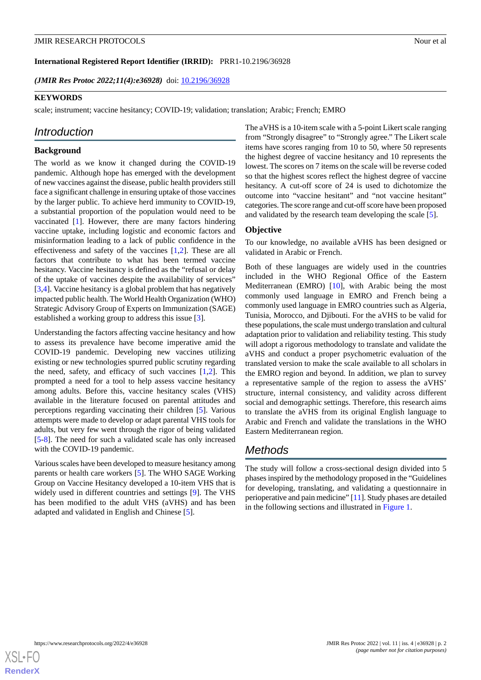**International Registered Report Identifier (IRRID):** PRR1-10.2196/36928

*(JMIR Res Protoc 2022;11(4):e36928)* doi:  $10.2196/36928$ 

## **KEYWORDS**

scale; instrument; vaccine hesitancy; COVID-19; validation; translation; Arabic; French; EMRO

# *Introduction*

# **Background**

The world as we know it changed during the COVID-19 pandemic. Although hope has emerged with the development of new vaccines against the disease, public health providers still face a significant challenge in ensuring uptake of those vaccines by the larger public. To achieve herd immunity to COVID-19, a substantial proportion of the population would need to be vaccinated [\[1](#page-6-0)]. However, there are many factors hindering vaccine uptake, including logistic and economic factors and misinformation leading to a lack of public confidence in the effectiveness and safety of the vaccines [[1](#page-6-0)[,2\]](#page-6-1). These are all factors that contribute to what has been termed vaccine hesitancy. Vaccine hesitancy is defined as the "refusal or delay of the uptake of vaccines despite the availability of services" [[3](#page-6-2)[,4](#page-6-3)]. Vaccine hesitancy is a global problem that has negatively impacted public health. The World Health Organization (WHO) Strategic Advisory Group of Experts on Immunization (SAGE) established a working group to address this issue [[3](#page-6-2)].

Understanding the factors affecting vaccine hesitancy and how to assess its prevalence have become imperative amid the COVID-19 pandemic. Developing new vaccines utilizing existing or new technologies spurred public scrutiny regarding the need, safety, and efficacy of such vaccines  $[1,2]$  $[1,2]$  $[1,2]$  $[1,2]$ . This prompted a need for a tool to help assess vaccine hesitancy among adults. Before this, vaccine hesitancy scales (VHS) available in the literature focused on parental attitudes and perceptions regarding vaccinating their children [\[5](#page-6-4)]. Various attempts were made to develop or adapt parental VHS tools for adults, but very few went through the rigor of being validated [[5](#page-6-4)[-8](#page-6-5)]. The need for such a validated scale has only increased with the COVID-19 pandemic.

Various scales have been developed to measure hesitancy among parents or health care workers [[5\]](#page-6-4). The WHO SAGE Working Group on Vaccine Hesitancy developed a 10-item VHS that is widely used in different countries and settings [\[9\]](#page-6-6). The VHS has been modified to the adult VHS (aVHS) and has been adapted and validated in English and Chinese [\[5](#page-6-4)].

The aVHS is a 10-item scale with a 5-point Likert scale ranging from "Strongly disagree" to "Strongly agree." The Likert scale items have scores ranging from 10 to 50, where 50 represents the highest degree of vaccine hesitancy and 10 represents the lowest. The scores on 7 items on the scale will be reverse coded so that the highest scores reflect the highest degree of vaccine hesitancy. A cut-off score of 24 is used to dichotomize the outcome into "vaccine hesitant" and "not vaccine hesitant" categories. The score range and cut-off score have been proposed and validated by the research team developing the scale [[5](#page-6-4)].

# **Objective**

To our knowledge, no available aVHS has been designed or validated in Arabic or French.

Both of these languages are widely used in the countries included in the WHO Regional Office of the Eastern Mediterranean (EMRO) [\[10](#page-6-7)], with Arabic being the most commonly used language in EMRO and French being a commonly used language in EMRO countries such as Algeria, Tunisia, Morocco, and Djibouti. For the aVHS to be valid for these populations, the scale must undergo translation and cultural adaptation prior to validation and reliability testing. This study will adopt a rigorous methodology to translate and validate the aVHS and conduct a proper psychometric evaluation of the translated version to make the scale available to all scholars in the EMRO region and beyond. In addition, we plan to survey a representative sample of the region to assess the aVHS' structure, internal consistency, and validity across different social and demographic settings. Therefore, this research aims to translate the aVHS from its original English language to Arabic and French and validate the translations in the WHO Eastern Mediterranean region.

# *Methods*

The study will follow a cross-sectional design divided into 5 phases inspired by the methodology proposed in the "Guidelines for developing, translating, and validating a questionnaire in perioperative and pain medicine" [\[11](#page-6-8)]. Study phases are detailed in the following sections and illustrated in [Figure 1.](#page-2-0)

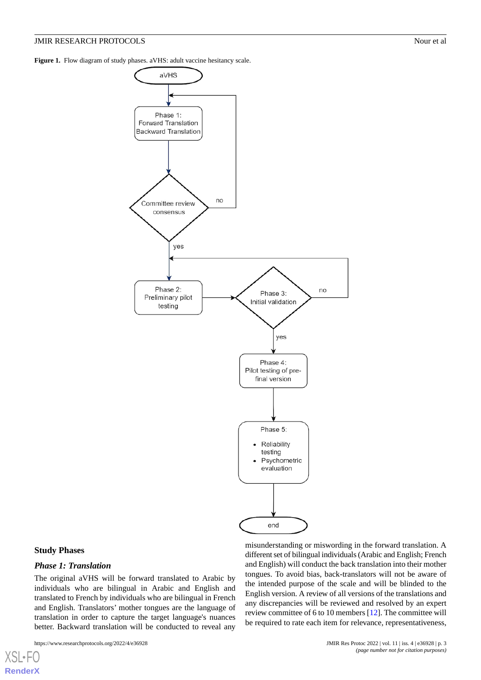<span id="page-2-0"></span>Figure 1. Flow diagram of study phases. aVHS: adult vaccine hesitancy scale.



#### **Study Phases**

[XSL](http://www.w3.org/Style/XSL)•FO **[RenderX](http://www.renderx.com/)**

# *Phase 1: Translation*

The original aVHS will be forward translated to Arabic by individuals who are bilingual in Arabic and English and translated to French by individuals who are bilingual in French and English. Translators' mother tongues are the language of translation in order to capture the target language's nuances better. Backward translation will be conducted to reveal any

https://www.researchprotocols.org/2022/4/e36928 JMIR Res Protoc 2022 | vol. 11 | iss. 4 | e36928 | p. 3

misunderstanding or miswording in the forward translation. A different set of bilingual individuals (Arabic and English; French and English) will conduct the back translation into their mother tongues. To avoid bias, back-translators will not be aware of the intended purpose of the scale and will be blinded to the English version. A review of all versions of the translations and any discrepancies will be reviewed and resolved by an expert review committee of 6 to 10 members [[12\]](#page-6-9). The committee will be required to rate each item for relevance, representativeness,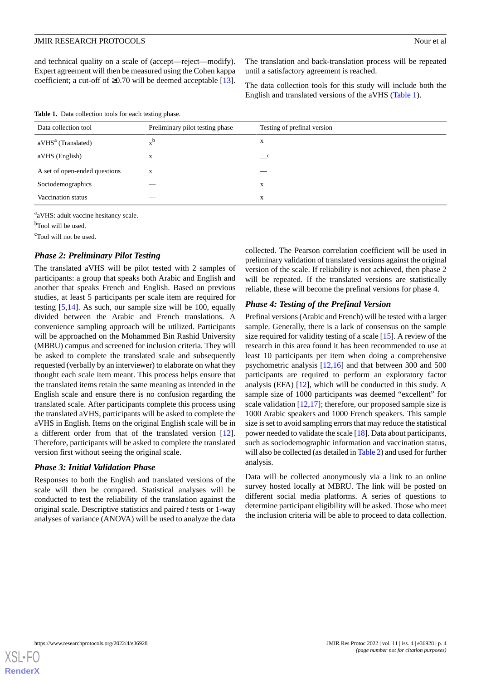<span id="page-3-0"></span>**Table 1.** Data collection tools for each testing phase.

and technical quality on a scale of (accept—reject—modify). Expert agreement will then be measured using the Cohen kappa coefficient; a cut-off of  $\geq$ 0.70 will be deemed acceptable [[13\]](#page-6-10).

The translation and back-translation process will be repeated until a satisfactory agreement is reached.

The data collection tools for this study will include both the English and translated versions of the aVHS [\(Table 1\)](#page-3-0).

| Data collection tool           | Preliminary pilot testing phase | Testing of prefinal version |
|--------------------------------|---------------------------------|-----------------------------|
| aVHS <sup>a</sup> (Translated) |                                 | X                           |
| aVHS (English)                 | X                               | $\mathbf{C}$                |
| A set of open-ended questions  | X                               | __                          |
| Sociodemographics              |                                 | X                           |
| Vaccination status             |                                 | X                           |

<sup>a</sup>aVHS: adult vaccine hesitancy scale.

<sup>b</sup>Tool will be used.

<sup>c</sup>Tool will not be used.

# *Phase 2: Preliminary Pilot Testing*

The translated aVHS will be pilot tested with 2 samples of participants: a group that speaks both Arabic and English and another that speaks French and English. Based on previous studies, at least 5 participants per scale item are required for testing [[5,](#page-6-4)[14\]](#page-6-11). As such, our sample size will be 100, equally divided between the Arabic and French translations. A convenience sampling approach will be utilized. Participants will be approached on the Mohammed Bin Rashid University (MBRU) campus and screened for inclusion criteria. They will be asked to complete the translated scale and subsequently requested (verbally by an interviewer) to elaborate on what they thought each scale item meant. This process helps ensure that the translated items retain the same meaning as intended in the English scale and ensure there is no confusion regarding the translated scale. After participants complete this process using the translated aVHS, participants will be asked to complete the aVHS in English. Items on the original English scale will be in a different order from that of the translated version [[12\]](#page-6-9). Therefore, participants will be asked to complete the translated version first without seeing the original scale.

### *Phase 3: Initial Validation Phase*

Responses to both the English and translated versions of the scale will then be compared. Statistical analyses will be conducted to test the reliability of the translation against the original scale. Descriptive statistics and paired *t* tests or 1-way analyses of variance (ANOVA) will be used to analyze the data collected. The Pearson correlation coefficient will be used in preliminary validation of translated versions against the original version of the scale. If reliability is not achieved, then phase 2 will be repeated. If the translated versions are statistically reliable, these will become the prefinal versions for phase 4.

# *Phase 4: Testing of the Prefinal Version*

Prefinal versions (Arabic and French) will be tested with a larger sample. Generally, there is a lack of consensus on the sample size required for validity testing of a scale [\[15](#page-6-12)]. A review of the research in this area found it has been recommended to use at least 10 participants per item when doing a comprehensive psychometric analysis [[12,](#page-6-9)[16](#page-6-13)] and that between 300 and 500 participants are required to perform an exploratory factor analysis (EFA) [[12\]](#page-6-9), which will be conducted in this study. A sample size of 1000 participants was deemed "excellent" for scale validation  $[12,17]$  $[12,17]$  $[12,17]$ ; therefore, our proposed sample size is 1000 Arabic speakers and 1000 French speakers. This sample size is set to avoid sampling errors that may reduce the statistical power needed to validate the scale [[18\]](#page-6-15). Data about participants, such as sociodemographic information and vaccination status, will also be collected (as detailed in [Table 2](#page-4-0)) and used for further analysis.

Data will be collected anonymously via a link to an online survey hosted locally at MBRU. The link will be posted on different social media platforms. A series of questions to determine participant eligibility will be asked. Those who meet the inclusion criteria will be able to proceed to data collection.

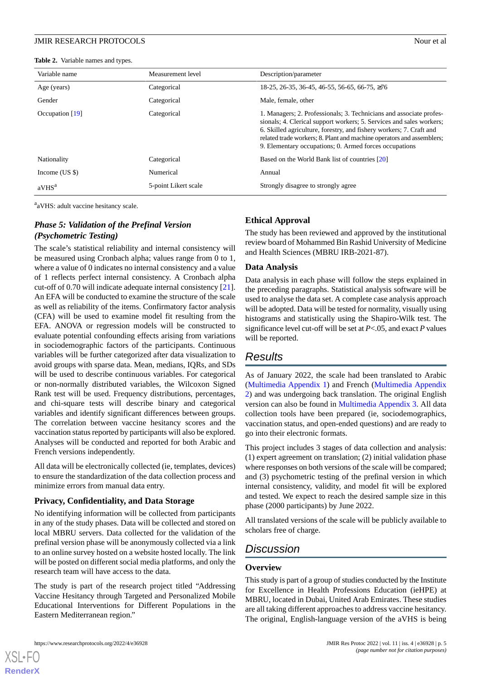<span id="page-4-0"></span>**Table 2.** Variable names and types.

| Variable name     | Measurement level    | Description/parameter                                                                                                                                                                                                                                                                                                                                 |
|-------------------|----------------------|-------------------------------------------------------------------------------------------------------------------------------------------------------------------------------------------------------------------------------------------------------------------------------------------------------------------------------------------------------|
| Age (years)       | Categorical          | $18-25$ , 26-35, 36-45, 46-55, 56-65, 66-75, $\geq$ 76                                                                                                                                                                                                                                                                                                |
| Gender            | Categorical          | Male, female, other                                                                                                                                                                                                                                                                                                                                   |
| Occupation $[19]$ | Categorical          | 1. Managers; 2. Professionals; 3. Technicians and associate profes-<br>sionals; 4. Clerical support workers; 5. Services and sales workers;<br>6. Skilled agriculture, forestry, and fishery workers; 7. Craft and<br>related trade workers; 8. Plant and machine operators and assemblers;<br>9. Elementary occupations; 0. Armed forces occupations |
| Nationality       | Categorical          | Based on the World Bank list of countries [20]                                                                                                                                                                                                                                                                                                        |
| Income $(US \$    | Numerical            | Annual                                                                                                                                                                                                                                                                                                                                                |
| aVHS <sup>a</sup> | 5-point Likert scale | Strongly disagree to strongly agree                                                                                                                                                                                                                                                                                                                   |

<sup>a</sup>aVHS: adult vaccine hesitancy scale.

# *Phase 5: Validation of the Prefinal Version (Psychometric Testing)*

The scale's statistical reliability and internal consistency will be measured using Cronbach alpha; values range from 0 to 1, where a value of 0 indicates no internal consistency and a value of 1 reflects perfect internal consistency. A Cronbach alpha cut-off of 0.70 will indicate adequate internal consistency [[21\]](#page-6-18). An EFA will be conducted to examine the structure of the scale as well as reliability of the items. Confirmatory factor analysis (CFA) will be used to examine model fit resulting from the EFA. ANOVA or regression models will be constructed to evaluate potential confounding effects arising from variations in sociodemographic factors of the participants. Continuous variables will be further categorized after data visualization to avoid groups with sparse data. Mean, medians, IQRs, and SDs will be used to describe continuous variables. For categorical or non-normally distributed variables, the Wilcoxon Signed Rank test will be used. Frequency distributions, percentages, and chi-square tests will describe binary and categorical variables and identify significant differences between groups. The correlation between vaccine hesitancy scores and the vaccination status reported by participants will also be explored. Analyses will be conducted and reported for both Arabic and French versions independently.

All data will be electronically collected (ie, templates, devices) to ensure the standardization of the data collection process and minimize errors from manual data entry.

# **Privacy, Confidentiality, and Data Storage**

No identifying information will be collected from participants in any of the study phases. Data will be collected and stored on local MBRU servers. Data collected for the validation of the prefinal version phase will be anonymously collected via a link to an online survey hosted on a website hosted locally. The link will be posted on different social media platforms, and only the research team will have access to the data.

The study is part of the research project titled "Addressing Vaccine Hesitancy through Targeted and Personalized Mobile Educational Interventions for Different Populations in the Eastern Mediterranean region."

# **Ethical Approval**

The study has been reviewed and approved by the institutional review board of Mohammed Bin Rashid University of Medicine and Health Sciences (MBRU IRB-2021-87).

# **Data Analysis**

Data analysis in each phase will follow the steps explained in the preceding paragraphs. Statistical analysis software will be used to analyse the data set. A complete case analysis approach will be adopted. Data will be tested for normality, visually using histograms and statistically using the Shapiro-Wilk test. The significance level cut-off will be set at *P*<.05*,* and exact *P* values will be reported.

# *Results*

As of January 2022, the scale had been translated to Arabic ([Multimedia Appendix 1\)](#page-5-0) and French [\(Multimedia Appendix](#page-5-1) [2\)](#page-5-1) and was undergoing back translation. The original English version can also be found in [Multimedia Appendix 3.](#page-6-19) All data collection tools have been prepared (ie, sociodemographics, vaccination status, and open-ended questions) and are ready to go into their electronic formats.

This project includes 3 stages of data collection and analysis: (1) expert agreement on translation; (2) initial validation phase where responses on both versions of the scale will be compared; and (3) psychometric testing of the prefinal version in which internal consistency, validity, and model fit will be explored and tested. We expect to reach the desired sample size in this phase (2000 participants) by June 2022.

All translated versions of the scale will be publicly available to scholars free of charge.

# *Discussion*

# **Overview**

This study is part of a group of studies conducted by the Institute for Excellence in Health Professions Education (ieHPE) at MBRU, located in Dubai, United Arab Emirates. These studies are all taking different approaches to address vaccine hesitancy. The original, English-language version of the aVHS is being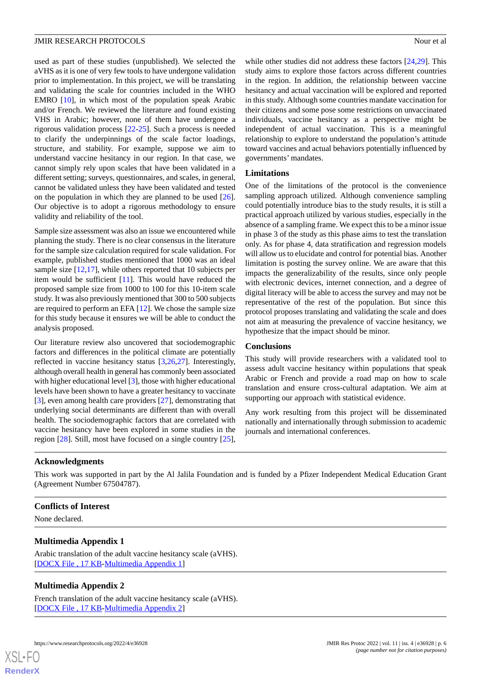used as part of these studies (unpublished). We selected the aVHS as it is one of very few tools to have undergone validation prior to implementation. In this project, we will be translating and validating the scale for countries included in the WHO EMRO [\[10](#page-6-7)], in which most of the population speak Arabic and/or French. We reviewed the literature and found existing VHS in Arabic; however, none of them have undergone a rigorous validation process [[22](#page-6-20)[-25](#page-7-0)]. Such a process is needed to clarify the underpinnings of the scale factor loadings, structure, and stability. For example, suppose we aim to understand vaccine hesitancy in our region. In that case, we cannot simply rely upon scales that have been validated in a different setting; surveys, questionnaires, and scales, in general, cannot be validated unless they have been validated and tested on the population in which they are planned to be used [[26\]](#page-7-1). Our objective is to adopt a rigorous methodology to ensure validity and reliability of the tool.

Sample size assessment was also an issue we encountered while planning the study. There is no clear consensus in the literature for the sample size calculation required for scale validation. For example, published studies mentioned that 1000 was an ideal sample size [[12,](#page-6-9)[17\]](#page-6-14), while others reported that 10 subjects per item would be sufficient [\[11](#page-6-8)]. This would have reduced the proposed sample size from 1000 to 100 for this 10-item scale study. It was also previously mentioned that 300 to 500 subjects are required to perform an EFA [\[12](#page-6-9)]. We chose the sample size for this study because it ensures we will be able to conduct the analysis proposed.

Our literature review also uncovered that sociodemographic factors and differences in the political climate are potentially reflected in vaccine hesitancy status [\[3](#page-6-2),[26](#page-7-1)[,27](#page-7-2)]. Interestingly, although overall health in general has commonly been associated with higher educational level [\[3](#page-6-2)], those with higher educational levels have been shown to have a greater hesitancy to vaccinate [[3\]](#page-6-2), even among health care providers [[27\]](#page-7-2), demonstrating that underlying social determinants are different than with overall health. The sociodemographic factors that are correlated with vaccine hesitancy have been explored in some studies in the region [\[28](#page-7-3)]. Still, most have focused on a single country [[25\]](#page-7-0),

while other studies did not address these factors [[24](#page-7-4)[,29](#page-7-5)]. This study aims to explore those factors across different countries in the region. In addition, the relationship between vaccine hesitancy and actual vaccination will be explored and reported in this study. Although some countries mandate vaccination for their citizens and some pose some restrictions on unvaccinated individuals, vaccine hesitancy as a perspective might be independent of actual vaccination. This is a meaningful relationship to explore to understand the population's attitude toward vaccines and actual behaviors potentially influenced by governments' mandates.

#### **Limitations**

One of the limitations of the protocol is the convenience sampling approach utilized. Although convenience sampling could potentially introduce bias to the study results, it is still a practical approach utilized by various studies, especially in the absence of a sampling frame. We expect this to be a minor issue in phase 3 of the study as this phase aims to test the translation only. As for phase 4, data stratification and regression models will allow us to elucidate and control for potential bias. Another limitation is posting the survey online. We are aware that this impacts the generalizability of the results, since only people with electronic devices, internet connection, and a degree of digital literacy will be able to access the survey and may not be representative of the rest of the population. But since this protocol proposes translating and validating the scale and does not aim at measuring the prevalence of vaccine hesitancy, we hypothesize that the impact should be minor.

### **Conclusions**

This study will provide researchers with a validated tool to assess adult vaccine hesitancy within populations that speak Arabic or French and provide a road map on how to scale translation and ensure cross-cultural adaptation. We aim at supporting our approach with statistical evidence.

Any work resulting from this project will be disseminated nationally and internationally through submission to academic journals and international conferences.

#### **Acknowledgments**

<span id="page-5-0"></span>This work was supported in part by the Al Jalila Foundation and is funded by a Pfizer Independent Medical Education Grant (Agreement Number 67504787).

#### **Conflicts of Interest**

<span id="page-5-1"></span>None declared.

### **Multimedia Appendix 1**

Arabic translation of the adult vaccine hesitancy scale (aVHS). [[DOCX File , 17 KB](https://jmir.org/api/download?alt_name=resprot_v11i4e36928_app1.docx&filename=726dd6b7861545815d45d3da5252262e.docx)-[Multimedia Appendix 1\]](https://jmir.org/api/download?alt_name=resprot_v11i4e36928_app1.docx&filename=726dd6b7861545815d45d3da5252262e.docx)

### **Multimedia Appendix 2**

French translation of the adult vaccine hesitancy scale (aVHS). [[DOCX File , 17 KB](https://jmir.org/api/download?alt_name=resprot_v11i4e36928_app2.docx&filename=859a2e8d0ae445fb15ee5e061121869d.docx)-[Multimedia Appendix 2\]](https://jmir.org/api/download?alt_name=resprot_v11i4e36928_app2.docx&filename=859a2e8d0ae445fb15ee5e061121869d.docx)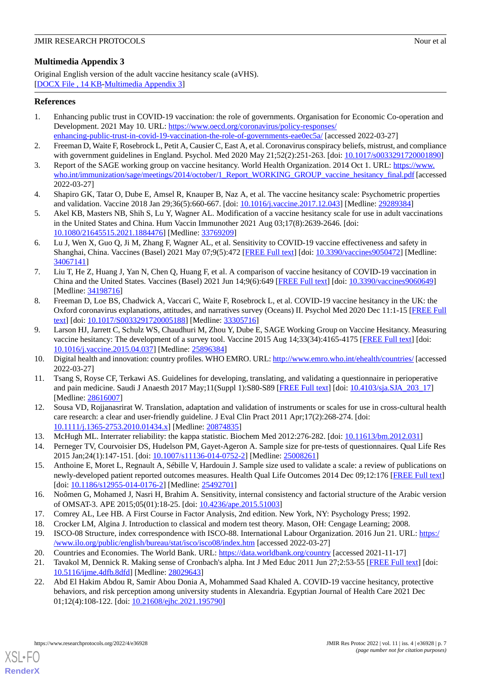# <span id="page-6-19"></span>**Multimedia Appendix 3**

Original English version of the adult vaccine hesitancy scale (aVHS). [[DOCX File , 14 KB](https://jmir.org/api/download?alt_name=resprot_v11i4e36928_app3.docx&filename=eeac4a244f2aaf22c6e0126a4a00498e.docx)-[Multimedia Appendix 3\]](https://jmir.org/api/download?alt_name=resprot_v11i4e36928_app3.docx&filename=eeac4a244f2aaf22c6e0126a4a00498e.docx)

# <span id="page-6-0"></span>**References**

- 1. Enhancing public trust in COVID-19 vaccination: the role of governments. Organisation for Economic Co-operation and Development. 2021 May 10. URL: [https://www.oecd.org/coronavirus/policy-responses/](https://www.oecd.org/coronavirus/policy-responses/enhancing-public-trust-in-covid-19-vaccination-the-role-of-governments-eae0ec5a/)
- <span id="page-6-2"></span><span id="page-6-1"></span>[enhancing-public-trust-in-covid-19-vaccination-the-role-of-governments-eae0ec5a/](https://www.oecd.org/coronavirus/policy-responses/enhancing-public-trust-in-covid-19-vaccination-the-role-of-governments-eae0ec5a/) [accessed 2022-03-27] 2. Freeman D, Waite F, Rosebrock L, Petit A, Causier C, East A, et al. Coronavirus conspiracy beliefs, mistrust, and compliance with government guidelines in England. Psychol. Med 2020 May 21;52(2):251-263. [doi: [10.1017/s0033291720001890\]](http://dx.doi.org/10.1017/s0033291720001890)
- <span id="page-6-3"></span>3. Report of the SAGE working group on vaccine hesitancy. World Health Organization. 2014 Oct 1. URL: [https://www.](https://www.who.int/immunization/sage/meetings/2014/october/1_Report_WORKING_GROUP_vaccine_hesitancy_final.pdf) [who.int/immunization/sage/meetings/2014/october/1\\_Report\\_WORKING\\_GROUP\\_vaccine\\_hesitancy\\_final.pdf](https://www.who.int/immunization/sage/meetings/2014/october/1_Report_WORKING_GROUP_vaccine_hesitancy_final.pdf) [accessed] 2022-03-27]
- <span id="page-6-4"></span>4. Shapiro GK, Tatar O, Dube E, Amsel R, Knauper B, Naz A, et al. The vaccine hesitancy scale: Psychometric properties and validation. Vaccine 2018 Jan 29;36(5):660-667. [doi: [10.1016/j.vaccine.2017.12.043\]](http://dx.doi.org/10.1016/j.vaccine.2017.12.043) [Medline: [29289384\]](http://www.ncbi.nlm.nih.gov/entrez/query.fcgi?cmd=Retrieve&db=PubMed&list_uids=29289384&dopt=Abstract)
- 5. Akel KB, Masters NB, Shih S, Lu Y, Wagner AL. Modification of a vaccine hesitancy scale for use in adult vaccinations in the United States and China. Hum Vaccin Immunother 2021 Aug 03;17(8):2639-2646. [doi: [10.1080/21645515.2021.1884476\]](http://dx.doi.org/10.1080/21645515.2021.1884476) [Medline: [33769209\]](http://www.ncbi.nlm.nih.gov/entrez/query.fcgi?cmd=Retrieve&db=PubMed&list_uids=33769209&dopt=Abstract)
- 6. Lu J, Wen X, Guo Q, Ji M, Zhang F, Wagner AL, et al. Sensitivity to COVID-19 vaccine effectiveness and safety in Shanghai, China. Vaccines (Basel) 2021 May 07;9(5):472 [\[FREE Full text\]](https://www.mdpi.com/resolver?pii=vaccines9050472) [doi: [10.3390/vaccines9050472\]](http://dx.doi.org/10.3390/vaccines9050472) [Medline: [34067141](http://www.ncbi.nlm.nih.gov/entrez/query.fcgi?cmd=Retrieve&db=PubMed&list_uids=34067141&dopt=Abstract)]
- <span id="page-6-5"></span>7. Liu T, He Z, Huang J, Yan N, Chen Q, Huang F, et al. A comparison of vaccine hesitancy of COVID-19 vaccination in China and the United States. Vaccines (Basel) 2021 Jun 14;9(6):649 [\[FREE Full text\]](https://www.mdpi.com/resolver?pii=vaccines9060649) [doi: [10.3390/vaccines9060649\]](http://dx.doi.org/10.3390/vaccines9060649) [Medline: [34198716](http://www.ncbi.nlm.nih.gov/entrez/query.fcgi?cmd=Retrieve&db=PubMed&list_uids=34198716&dopt=Abstract)]
- <span id="page-6-6"></span>8. Freeman D, Loe BS, Chadwick A, Vaccari C, Waite F, Rosebrock L, et al. COVID-19 vaccine hesitancy in the UK: the Oxford coronavirus explanations, attitudes, and narratives survey (Oceans) II. Psychol Med 2020 Dec 11:1-15 [[FREE Full](http://europepmc.org/abstract/MED/33305716) [text](http://europepmc.org/abstract/MED/33305716)] [doi: [10.1017/S0033291720005188](http://dx.doi.org/10.1017/S0033291720005188)] [Medline: [33305716](http://www.ncbi.nlm.nih.gov/entrez/query.fcgi?cmd=Retrieve&db=PubMed&list_uids=33305716&dopt=Abstract)]
- <span id="page-6-8"></span><span id="page-6-7"></span>9. Larson HJ, Jarrett C, Schulz WS, Chaudhuri M, Zhou Y, Dube E, SAGE Working Group on Vaccine Hesitancy. Measuring vaccine hesitancy: The development of a survey tool. Vaccine 2015 Aug 14;33(34):4165-4175 [[FREE Full text](https://linkinghub.elsevier.com/retrieve/pii/S0264-410X(15)00501-0)] [doi: [10.1016/j.vaccine.2015.04.037\]](http://dx.doi.org/10.1016/j.vaccine.2015.04.037) [Medline: [25896384\]](http://www.ncbi.nlm.nih.gov/entrez/query.fcgi?cmd=Retrieve&db=PubMed&list_uids=25896384&dopt=Abstract)
- <span id="page-6-9"></span>10. Digital health and innovation: country profiles. WHO EMRO. URL:<http://www.emro.who.int/ehealth/countries/> [accessed 2022-03-27]
- 11. Tsang S, Royse CF, Terkawi AS. Guidelines for developing, translating, and validating a questionnaire in perioperative and pain medicine. Saudi J Anaesth 2017 May;11(Suppl 1):S80-S89 [[FREE Full text](http://europepmc.org/abstract/MED/28616007)] [doi: [10.4103/sja.SJA\\_203\\_17\]](http://dx.doi.org/10.4103/sja.SJA_203_17) [Medline: [28616007](http://www.ncbi.nlm.nih.gov/entrez/query.fcgi?cmd=Retrieve&db=PubMed&list_uids=28616007&dopt=Abstract)]
- <span id="page-6-12"></span><span id="page-6-11"></span><span id="page-6-10"></span>12. Sousa VD, Rojjanasrirat W. Translation, adaptation and validation of instruments or scales for use in cross-cultural health care research: a clear and user-friendly guideline. J Eval Clin Pract 2011 Apr;17(2):268-274. [doi: [10.1111/j.1365-2753.2010.01434.x\]](http://dx.doi.org/10.1111/j.1365-2753.2010.01434.x) [Medline: [20874835\]](http://www.ncbi.nlm.nih.gov/entrez/query.fcgi?cmd=Retrieve&db=PubMed&list_uids=20874835&dopt=Abstract)
- 13. McHugh ML. Interrater reliability: the kappa statistic. Biochem Med 2012:276-282. [doi: [10.11613/bm.2012.031](http://dx.doi.org/10.11613/bm.2012.031)]
- <span id="page-6-13"></span>14. Perneger TV, Courvoisier DS, Hudelson PM, Gayet-Ageron A. Sample size for pre-tests of questionnaires. Qual Life Res 2015 Jan;24(1):147-151. [doi: [10.1007/s11136-014-0752-2\]](http://dx.doi.org/10.1007/s11136-014-0752-2) [Medline: [25008261](http://www.ncbi.nlm.nih.gov/entrez/query.fcgi?cmd=Retrieve&db=PubMed&list_uids=25008261&dopt=Abstract)]
- <span id="page-6-15"></span><span id="page-6-14"></span>15. Anthoine E, Moret L, Regnault A, Sébille V, Hardouin J. Sample size used to validate a scale: a review of publications on newly-developed patient reported outcomes measures. Health Qual Life Outcomes 2014 Dec 09;12:176 [[FREE Full text](https://hqlo.biomedcentral.com/articles/10.1186/s12955-014-0176-2)] [doi: [10.1186/s12955-014-0176-2](http://dx.doi.org/10.1186/s12955-014-0176-2)] [Medline: [25492701\]](http://www.ncbi.nlm.nih.gov/entrez/query.fcgi?cmd=Retrieve&db=PubMed&list_uids=25492701&dopt=Abstract)
- <span id="page-6-17"></span><span id="page-6-16"></span>16. Noômen G, Mohamed J, Nasri H, Brahim A. Sensitivity, internal consistency and factorial structure of the Arabic version of OMSAT-3. APE 2015;05(01):18-25. [doi: [10.4236/ape.2015.51003](http://dx.doi.org/10.4236/ape.2015.51003)]
- <span id="page-6-18"></span>17. Comrey AL, Lee HB. A First Course in Factor Analysis, 2nd edition. New York, NY: Psychology Press; 1992.
- <span id="page-6-20"></span>18. Crocker LM, Algina J. Introduction to classical and modern test theory. Mason, OH: Cengage Learning; 2008.
- 19. ISCO-08 Structure, index correspondence with ISCO-88. International Labour Organization. 2016 Jun 21. URL: [https:/](https://www.ilo.org/public/english/bureau/stat/isco/isco08/index.htm) [/www.ilo.org/public/english/bureau/stat/isco/isco08/index.htm](https://www.ilo.org/public/english/bureau/stat/isco/isco08/index.htm) [accessed 2022-03-27]
- 20. Countries and Economies. The World Bank. URL: <https://data.worldbank.org/country> [accessed 2021-11-17]
- 21. Tavakol M, Dennick R. Making sense of Cronbach's alpha. Int J Med Educ 2011 Jun 27;2:53-55 [\[FREE Full text\]](https://www.ijme.net/pmid/28029643) [doi: [10.5116/ijme.4dfb.8dfd\]](http://dx.doi.org/10.5116/ijme.4dfb.8dfd) [Medline: [28029643\]](http://www.ncbi.nlm.nih.gov/entrez/query.fcgi?cmd=Retrieve&db=PubMed&list_uids=28029643&dopt=Abstract)
- 22. Abd El Hakim Abdou R, Samir Abou Donia A, Mohammed Saad Khaled A. COVID-19 vaccine hesitancy, protective behaviors, and risk perception among university students in Alexandria. Egyptian Journal of Health Care 2021 Dec 01;12(4):108-122. [doi: [10.21608/ejhc.2021.195790](http://dx.doi.org/10.21608/ejhc.2021.195790)]